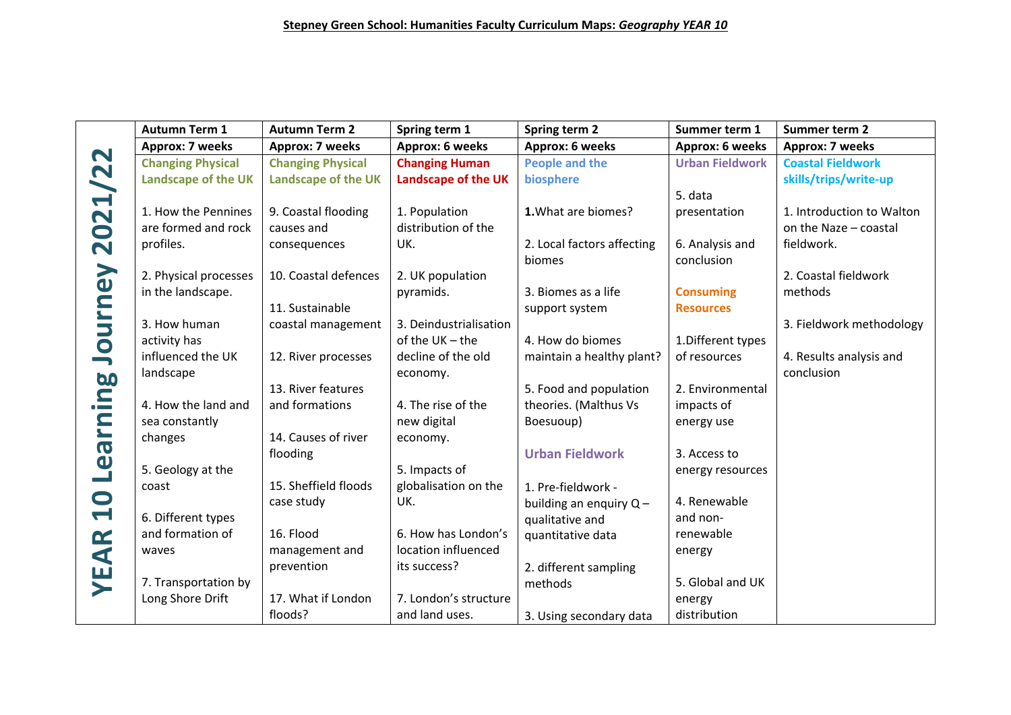|              | <b>Autumn Term 1</b>     | <b>Autumn Term 2</b>       | Spring term 1              | Spring term 2              | Summer term 1          | Summer term 2             |
|--------------|--------------------------|----------------------------|----------------------------|----------------------------|------------------------|---------------------------|
|              | Approx: 7 weeks          | <b>Approx: 7 weeks</b>     | Approx: 6 weeks            | Approx: 6 weeks            | Approx: 6 weeks        | Approx: 7 weeks           |
| 021/22       | <b>Changing Physical</b> | <b>Changing Physical</b>   | <b>Changing Human</b>      | <b>People and the</b>      | <b>Urban Fieldwork</b> | <b>Coastal Fieldwork</b>  |
|              | Landscape of the UK      | <b>Landscape of the UK</b> | <b>Landscape of the UK</b> | biosphere                  |                        | skills/trips/write-up     |
|              |                          |                            |                            |                            | 5. data                |                           |
|              | 1. How the Pennines      | 9. Coastal flooding        | 1. Population              | 1. What are biomes?        | presentation           | 1. Introduction to Walton |
|              | are formed and rock      | causes and                 | distribution of the        |                            |                        | on the Naze - coastal     |
| $\mathbf N$  | profiles.                | consequences               | UK.                        | 2. Local factors affecting | 6. Analysis and        | fieldwork.                |
|              |                          |                            |                            | biomes                     | conclusion             |                           |
|              | 2. Physical processes    | 10. Coastal defences       | 2. UK population           |                            |                        | 2. Coastal fieldwork      |
|              | in the landscape.        |                            | pyramids.                  | 3. Biomes as a life        | <b>Consuming</b>       | methods                   |
|              |                          | 11. Sustainable            |                            | support system             | <b>Resources</b>       |                           |
| Journey      | 3. How human             | coastal management         | 3. Deindustrialisation     |                            |                        | 3. Fieldwork methodology  |
|              | activity has             |                            | of the $UK$ – the          | 4. How do biomes           | 1. Different types     |                           |
|              | influenced the UK        | 12. River processes        | decline of the old         | maintain a healthy plant?  | of resources           | 4. Results analysis and   |
|              | landscape                |                            | economy.                   |                            |                        | conclusion                |
| ing          |                          | 13. River features         |                            | 5. Food and population     | 2. Environmental       |                           |
|              | 4. How the land and      | and formations             | 4. The rise of the         | theories. (Malthus Vs      | impacts of             |                           |
| <b>u.re</b>  | sea constantly           |                            | new digital                | Boesuoup)                  | energy use             |                           |
|              | changes                  | 14. Causes of river        | economy.                   |                            |                        |                           |
|              |                          | flooding                   |                            | <b>Urban Fieldwork</b>     | 3. Access to           |                           |
| $\mathbf{Q}$ | 5. Geology at the        |                            | 5. Impacts of              |                            | energy resources       |                           |
|              | coast                    | 15. Sheffield floods       | globalisation on the       | 1. Pre-fieldwork -         |                        |                           |
| $\mathbf{C}$ |                          | case study                 | UK.                        | building an enquiry $Q -$  | 4. Renewable           |                           |
|              | 6. Different types       |                            |                            | qualitative and            | and non-               |                           |
|              | and formation of         | 16. Flood                  | 6. How has London's        | quantitative data          | renewable              |                           |
| AR           | waves                    | management and             | location influenced        |                            | energy                 |                           |
|              |                          | prevention                 | its success?               | 2. different sampling      |                        |                           |
| УE,          | 7. Transportation by     |                            |                            | methods                    | 5. Global and UK       |                           |
|              | Long Shore Drift         | 17. What if London         | 7. London's structure      |                            | energy                 |                           |
|              |                          | floods?                    | and land uses.             | 3. Using secondary data    | distribution           |                           |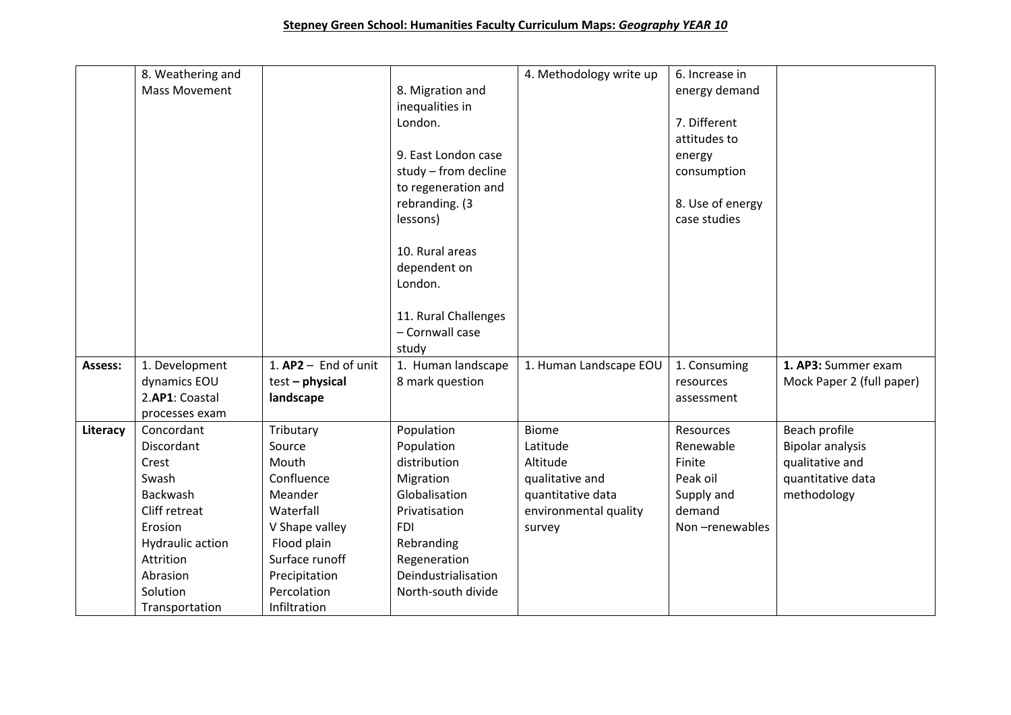|          | 8. Weathering and    |                        |                      | 4. Methodology write up | 6. Increase in   |                           |
|----------|----------------------|------------------------|----------------------|-------------------------|------------------|---------------------------|
|          | <b>Mass Movement</b> |                        | 8. Migration and     |                         | energy demand    |                           |
|          |                      |                        | inequalities in      |                         |                  |                           |
|          |                      |                        | London.              |                         | 7. Different     |                           |
|          |                      |                        |                      |                         | attitudes to     |                           |
|          |                      |                        | 9. East London case  |                         | energy           |                           |
|          |                      |                        | study - from decline |                         | consumption      |                           |
|          |                      |                        | to regeneration and  |                         |                  |                           |
|          |                      |                        | rebranding. (3       |                         | 8. Use of energy |                           |
|          |                      |                        | lessons)             |                         | case studies     |                           |
|          |                      |                        |                      |                         |                  |                           |
|          |                      |                        | 10. Rural areas      |                         |                  |                           |
|          |                      |                        | dependent on         |                         |                  |                           |
|          |                      |                        | London.              |                         |                  |                           |
|          |                      |                        |                      |                         |                  |                           |
|          |                      |                        | 11. Rural Challenges |                         |                  |                           |
|          |                      |                        | - Cornwall case      |                         |                  |                           |
|          |                      |                        | study                |                         |                  |                           |
| Assess:  | 1. Development       | 1. $AP2 -$ End of unit | 1. Human landscape   | 1. Human Landscape EOU  | 1. Consuming     | 1. AP3: Summer exam       |
|          | dynamics EOU         | $test - physical$      | 8 mark question      |                         | resources        | Mock Paper 2 (full paper) |
|          | 2.AP1: Coastal       | landscape              |                      |                         | assessment       |                           |
|          | processes exam       |                        |                      |                         |                  |                           |
| Literacy | Concordant           | Tributary              | Population           | <b>Biome</b>            | <b>Resources</b> | Beach profile             |
|          | Discordant           | Source                 | Population           | Latitude                | Renewable        | <b>Bipolar analysis</b>   |
|          | Crest                | Mouth                  | distribution         | Altitude                | Finite           | qualitative and           |
|          | Swash                | Confluence             | Migration            | qualitative and         | Peak oil         | quantitative data         |
|          | Backwash             | Meander                | Globalisation        | quantitative data       | Supply and       | methodology               |
|          | Cliff retreat        | Waterfall              | Privatisation        | environmental quality   | demand           |                           |
|          | Erosion              | V Shape valley         | <b>FDI</b>           | survey                  | Non-renewables   |                           |
|          | Hydraulic action     | Flood plain            | Rebranding           |                         |                  |                           |
|          | Attrition            | Surface runoff         | Regeneration         |                         |                  |                           |
|          | Abrasion             | Precipitation          | Deindustrialisation  |                         |                  |                           |
|          | Solution             | Percolation            | North-south divide   |                         |                  |                           |
|          | Transportation       | Infiltration           |                      |                         |                  |                           |